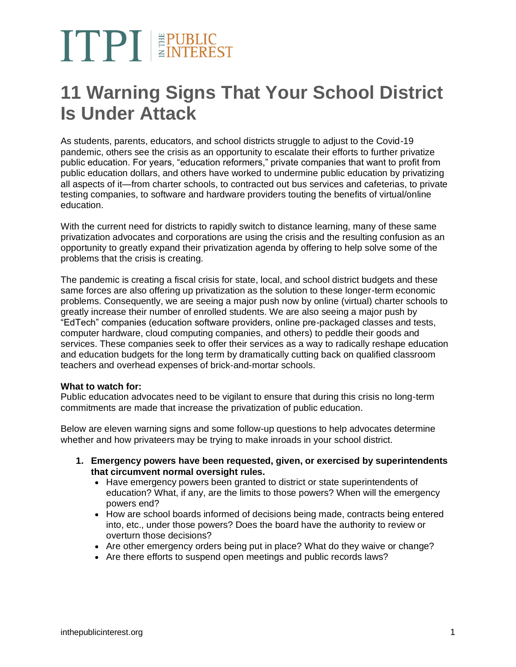### **11 Warning Signs That Your School District Is Under Attack**

As students, parents, educators, and school districts struggle to adjust to the Covid-19 pandemic, others see the crisis as an opportunity to escalate their efforts to further privatize public education. For years, "education reformers," private companies that want to profit from public education dollars, and others have worked to undermine public education by privatizing all aspects of it—from charter schools, to contracted out bus services and cafeterias, to private testing companies, to software and hardware providers touting the benefits of virtual/online education.

With the current need for districts to rapidly switch to distance learning, many of these same privatization advocates and corporations are using the crisis and the resulting confusion as an opportunity to greatly expand their privatization agenda by offering to help solve some of the problems that the crisis is creating.

The pandemic is creating a fiscal crisis for state, local, and school district budgets and these same forces are also offering up privatization as the solution to these longer-term economic problems. Consequently, we are seeing a major push now by online (virtual) charter schools to greatly increase their number of enrolled students. We are also seeing a major push by "EdTech" companies (education software providers, online pre-packaged classes and tests, computer hardware, cloud computing companies, and others) to peddle their goods and services. These companies seek to offer their services as a way to radically reshape education and education budgets for the long term by dramatically cutting back on qualified classroom teachers and overhead expenses of brick-and-mortar schools.

#### **What to watch for:**

Public education advocates need to be vigilant to ensure that during this crisis no long-term commitments are made that increase the privatization of public education.

Below are eleven warning signs and some follow-up questions to help advocates determine whether and how privateers may be trying to make inroads in your school district.

- **1. Emergency powers have been requested, given, or exercised by superintendents that circumvent normal oversight rules.**
	- Have emergency powers been granted to district or state superintendents of education? What, if any, are the limits to those powers? When will the emergency powers end?
	- How are school boards informed of decisions being made, contracts being entered into, etc., under those powers? Does the board have the authority to review or overturn those decisions?
	- Are other emergency orders being put in place? What do they waive or change?
	- Are there efforts to suspend open meetings and public records laws?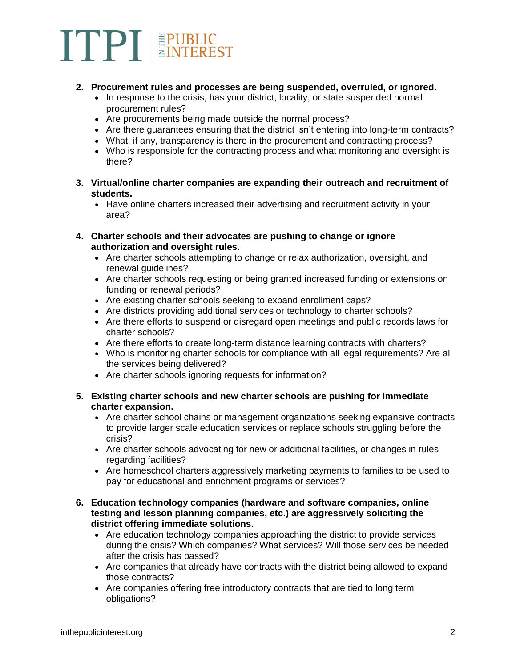#### **2. Procurement rules and processes are being suspended, overruled, or ignored.**

- In response to the crisis, has your district, locality, or state suspended normal procurement rules?
- Are procurements being made outside the normal process?
- Are there guarantees ensuring that the district isn't entering into long-term contracts?
- What, if any, transparency is there in the procurement and contracting process?
- Who is responsible for the contracting process and what monitoring and oversight is there?
- **3. Virtual/online charter companies are expanding their outreach and recruitment of students.**
	- Have online charters increased their advertising and recruitment activity in your area?
- **4. Charter schools and their advocates are pushing to change or ignore authorization and oversight rules.**
	- Are charter schools attempting to change or relax authorization, oversight, and renewal guidelines?
	- Are charter schools requesting or being granted increased funding or extensions on funding or renewal periods?
	- Are existing charter schools seeking to expand enrollment caps?
	- Are districts providing additional services or technology to charter schools?
	- Are there efforts to suspend or disregard open meetings and public records laws for charter schools?
	- Are there efforts to create long-term distance learning contracts with charters?
	- Who is monitoring charter schools for compliance with all legal requirements? Are all the services being delivered?
	- Are charter schools ignoring requests for information?

#### **5. Existing charter schools and new charter schools are pushing for immediate charter expansion.**

- Are charter school chains or management organizations seeking expansive contracts to provide larger scale education services or replace schools struggling before the crisis?
- Are charter schools advocating for new or additional facilities, or changes in rules regarding facilities?
- Are homeschool charters aggressively marketing payments to families to be used to pay for educational and enrichment programs or services?
- **6. Education technology companies (hardware and software companies, online testing and lesson planning companies, etc.) are aggressively soliciting the district offering immediate solutions.**
	- Are education technology companies approaching the district to provide services during the crisis? Which companies? What services? Will those services be needed after the crisis has passed?
	- Are companies that already have contracts with the district being allowed to expand those contracts?
	- Are companies offering free introductory contracts that are tied to long term obligations?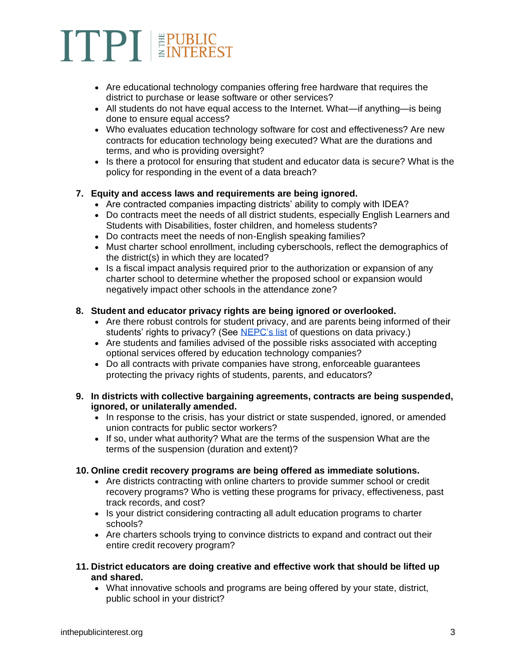- Are educational technology companies offering free hardware that requires the district to purchase or lease software or other services?
- All students do not have equal access to the Internet. What—if anything—is being done to ensure equal access?
- Who evaluates education technology software for cost and effectiveness? Are new contracts for education technology being executed? What are the durations and terms, and who is providing oversight?
- Is there a protocol for ensuring that student and educator data is secure? What is the policy for responding in the event of a data breach?

#### **7. Equity and access laws and requirements are being ignored.**

- Are contracted companies impacting districts' ability to comply with IDEA?
- Do contracts meet the needs of all district students, especially English Learners and Students with Disabilities, foster children, and homeless students?
- Do contracts meet the needs of non-English speaking families?
- Must charter school enrollment, including cyberschools, reflect the demographics of the district(s) in which they are located?
- Is a fiscal impact analysis required prior to the authorization or expansion of any charter school to determine whether the proposed school or expansion would negatively impact other schools in the attendance zone?

#### **8. Student and educator privacy rights are being ignored or overlooked.**

- Are there robust controls for student privacy, and are parents being informed of their students' rights to privacy? (See [NEPC's list](https://nepc.colorado.edu/publication/newsletter-covid-privacy-040920?fbclid=IwAR0jzbwavQRT-9IojRw9WM1QU_FHNvTJjkiQQ3xJkn-FBSpLbnF8u1KK_gU) of questions on data privacy.)
- Are students and families advised of the possible risks associated with accepting optional services offered by education technology companies?
- Do all contracts with private companies have strong, enforceable guarantees protecting the privacy rights of students, parents, and educators?

#### **9. In districts with collective bargaining agreements, contracts are being suspended, ignored, or unilaterally amended.**

- In response to the crisis, has your district or state suspended, ignored, or amended union contracts for public sector workers?
- If so, under what authority? What are the terms of the suspension What are the terms of the suspension (duration and extent)?

#### **10. Online credit recovery programs are being offered as immediate solutions.**

- Are districts contracting with online charters to provide summer school or credit recovery programs? Who is vetting these programs for privacy, effectiveness, past track records, and cost?
- Is your district considering contracting all adult education programs to charter schools?
- Are charters schools trying to convince districts to expand and contract out their entire credit recovery program?
- **11. District educators are doing creative and effective work that should be lifted up and shared.**
	- What innovative schools and programs are being offered by your state, district, public school in your district?